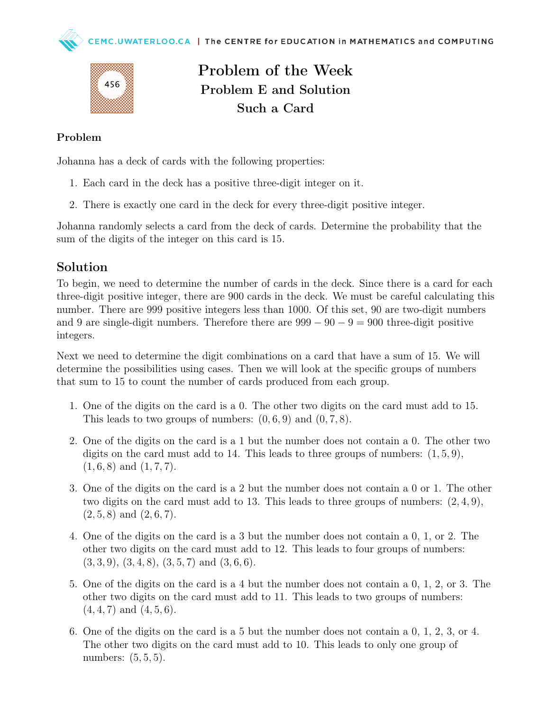

Problem of the Week Problem E and Solution Such a Card

## Problem

Johanna has a deck of cards with the following properties:

- 1. Each card in the deck has a positive three-digit integer on it.
- 2. There is exactly one card in the deck for every three-digit positive integer.

Johanna randomly selects a card from the deck of cards. Determine the probability that the sum of the digits of the integer on this card is 15.

## Solution

To begin, we need to determine the number of cards in the deck. Since there is a card for each three-digit positive integer, there are 900 cards in the deck. We must be careful calculating this number. There are 999 positive integers less than 1000. Of this set, 90 are two-digit numbers and 9 are single-digit numbers. Therefore there are  $999 - 90 - 9 = 900$  three-digit positive integers.

Next we need to determine the digit combinations on a card that have a sum of 15. We will determine the possibilities using cases. Then we will look at the specific groups of numbers that sum to 15 to count the number of cards produced from each group.

- 1. One of the digits on the card is a 0. The other two digits on the card must add to 15. This leads to two groups of numbers:  $(0, 6, 9)$  and  $(0, 7, 8)$ .
- 2. One of the digits on the card is a 1 but the number does not contain a 0. The other two digits on the card must add to 14. This leads to three groups of numbers:  $(1, 5, 9)$ ,  $(1, 6, 8)$  and  $(1, 7, 7)$ .
- 3. One of the digits on the card is a 2 but the number does not contain a 0 or 1. The other two digits on the card must add to 13. This leads to three groups of numbers:  $(2, 4, 9)$ ,  $(2, 5, 8)$  and  $(2, 6, 7)$ .
- 4. One of the digits on the card is a 3 but the number does not contain a 0, 1, or 2. The other two digits on the card must add to 12. This leads to four groups of numbers:  $(3,3,9), (3,4,8), (3,5,7) \text{ and } (3,6,6).$
- 5. One of the digits on the card is a 4 but the number does not contain a 0, 1, 2, or 3. The other two digits on the card must add to 11. This leads to two groups of numbers:  $(4, 4, 7)$  and  $(4, 5, 6)$ .
- 6. One of the digits on the card is a 5 but the number does not contain a 0, 1, 2, 3, or 4. The other two digits on the card must add to 10. This leads to only one group of numbers: (5, 5, 5).